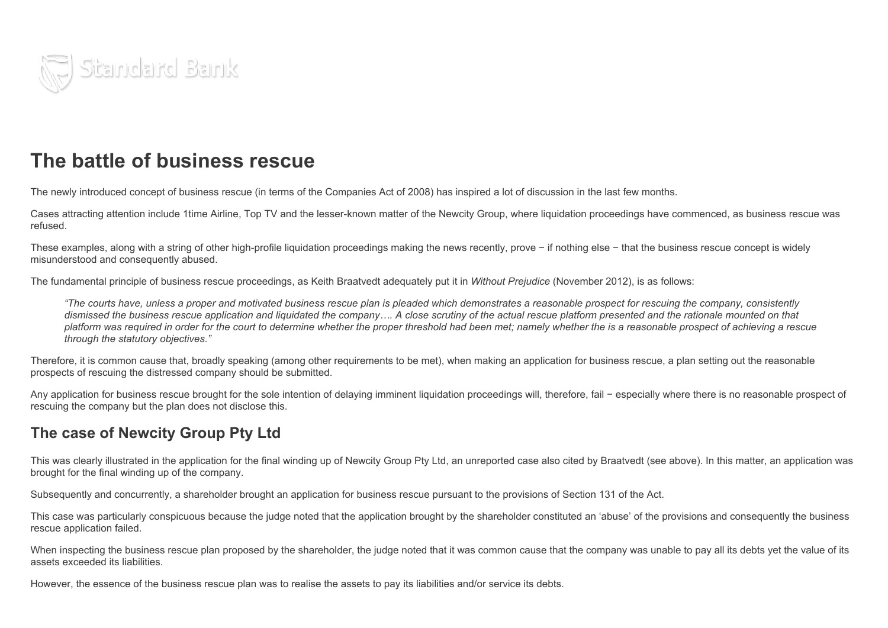

## The battle of business rescue

The newly introduced concept of business rescue (in terms of the Companies Act of 2008) has inspired a lot of discussion in the last few months.

Cases attracting attention include 1time Airline, Top TV and the lesser-known matter of the Newcity Group, where liquidation proceedings have commenced, as business rescue was refused.

These examples, along with a string of other high-profile liquidation proceedings making the news recently, prove − if nothing else − that the business rescue concept is widely misunderstood and consequently abused.

The fundamental principle of business rescue proceedings, as Keith Braatvedt adequately put it in *Without Prejudice* (November 2012), is as follows:

"The courts have, unless a proper and motivated business rescue plan is pleaded which demonstrates a reasonable prospect for rescuing the company, consistently dismissed the business rescue application and liquidated the company.... A close scrutiny of the actual rescue platform presented and the rationale mounted on that platform was required in order for the court to determine whether the proper threshold had been met; namely whether the is a reasonable prospect of achieving a rescue *through the statutory objectives."*

Therefore, it is common cause that, broadly speaking (among other requirements to be met), when making an application for business rescue, a plan setting out the reasonable prospects of rescuing the distressed company should be submitted.

Any application for business rescue brought for the sole intention of delaying imminent liquidation proceedings will, therefore, fail − especially where there is no reasonable prospect of rescuing the company but the plan does not disclose this.

## The case of Newcity Group Pty Ltd

This was clearly illustrated in the application for the final winding up of Newcity Group Pty Ltd, an unreported case also cited by Braatvedt (see above). In this matter, an application was brought for the final winding up of the company.

Subsequently and concurrently, a shareholder brought an application for business rescue pursuant to the provisions of Section 131 of the Act.

This case was particularly conspicuous because the judge noted that the application brought by the shareholder constituted an 'abuse' of the provisions and consequently the business rescue application failed.

When inspecting the business rescue plan proposed by the shareholder, the judge noted that it was common cause that the company was unable to pay all its debts yet the value of its assets exceeded its liabilities.

However, the essence of the business rescue plan was to realise the assets to pay its liabilities and/or service its debts.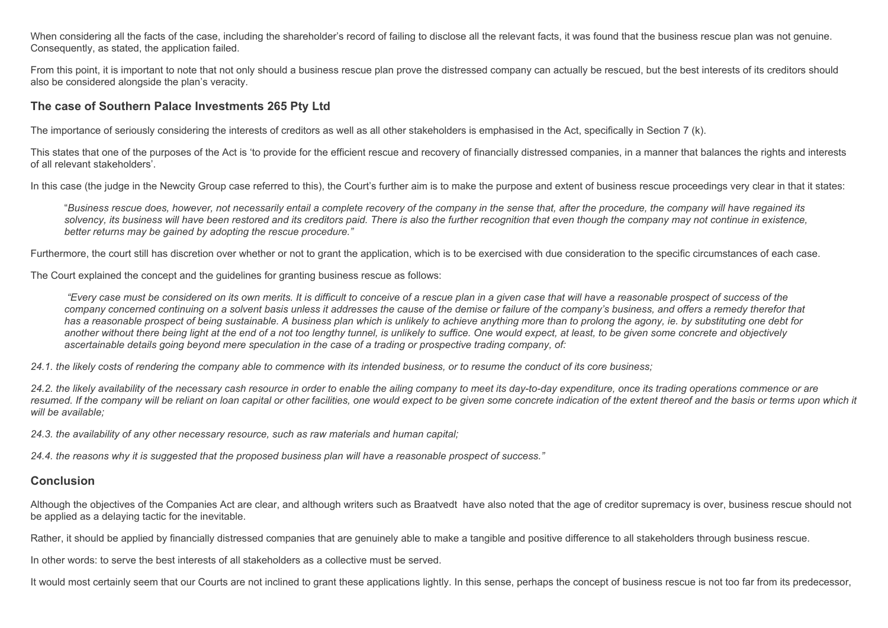When considering all the facts of the case, including the shareholder's record of failing to disclose all the relevant facts, it was found that the business rescue plan was not genuine. Consequently, as stated, the application failed.

From this point, it is important to note that not only should a business rescue plan prove the distressed company can actually be rescued, but the best interests of its creditors should also be considered alongside the plan's veracity.

## The case of Southern Palace Investments 265 Pty Ltd

The importance of seriously considering the interests of creditors as well as all other stakeholders is emphasised in the Act, specifically in Section 7 (k).

This states that one of the purposes of the Act is 'to provide for the efficient rescue and recovery of financially distressed companies, in a manner that balances the rights and interests of all relevant stakeholders'.

In this case (the judge in the Newcity Group case referred to this), the Court's further aim is to make the purpose and extent of business rescue proceedings very clear in that it states:

"Business rescue does, however, not necessarily entail a complete recovery of the company in the sense that, after the procedure, the company will have regained its solvency, its business will have been restored and its creditors paid. There is also the further recognition that even though the company may not continue in existence, *better returns may be gained by adopting the rescue procedure."*

Furthermore, the court still has discretion over whether or not to grant the application, which is to be exercised with due consideration to the specific circumstances of each case.

The Court explained the concept and the guidelines for granting business rescue as follows:

"Every case must be considered on its own merits. It is difficult to conceive of a rescue plan in a given case that will have a reasonable prospect of success of the company concerned continuing on a solvent basis unless it addresses the cause of the demise or failure of the company's business, and offers a remedy therefor that has a reasonable prospect of being sustainable. A business plan which is unlikely to achieve anything more than to prolong the agony, ie, by substituting one debt for another without there being light at the end of a not too lengthy tunnel, is unlikely to suffice. One would expect, at least, to be given some concrete and objectively ascertainable details going beyond mere speculation in the case of a trading or prospective trading company, of:

24.1, the likely costs of rendering the company able to commence with its intended business, or to resume the conduct of its core business;

24.2. the likely availability of the necessary cash resource in order to enable the ailing company to meet its day-to-day expenditure, once its trading operations commence or are resumed. If the company will be reliant on loan capital or other facilities, one would expect to be given some concrete indication of the extent thereof and the basis or terms upon which it *will be available;*

*24.3. the availability of any other necessary resource, such as raw materials and human capital;*

24.4. the reasons why it is suggested that the proposed business plan will have a reasonable prospect of success."

## Conclusion

Although the objectives of the Companies Act are clear, and although writers such as Braatvedt have also noted that the age of creditor supremacy is over, business rescue should not be applied as a delaying tactic for the inevitable.

Rather, it should be applied by financially distressed companies that are genuinely able to make a tangible and positive difference to all stakeholders through business rescue.

In other words: to serve the best interests of all stakeholders as a collective must be served.

It would most certainly seem that our Courts are not inclined to grant these applications lightly. In this sense, perhaps the concept of business rescue is not too far from its predecessor,